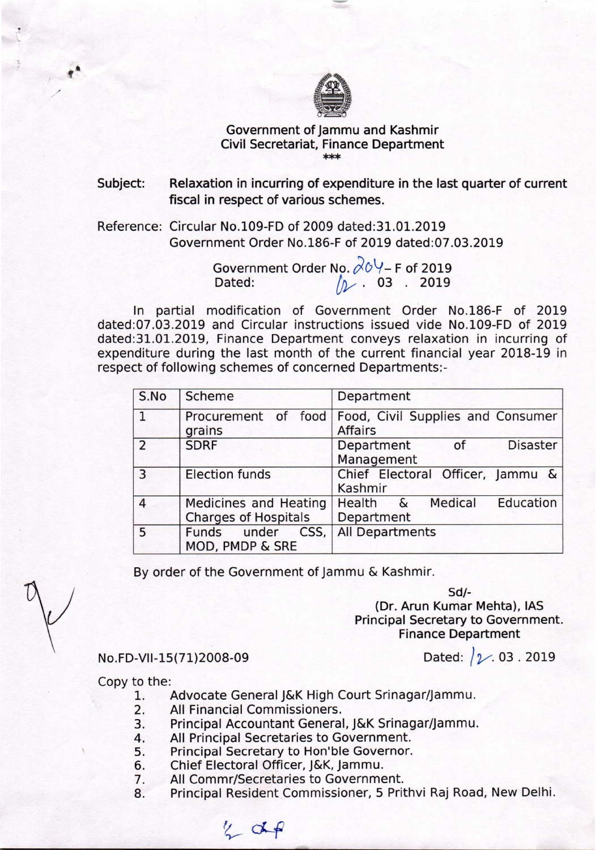

## Government of Jammu and Kashmir Civil Secretariat, Finance Department \*\*\*

Subject: Relaxation in incurring of expenditure in the last quarter of current fiscal in respect of various schemes.

Reference: Circular No.109-FD of 2009 dated:31.01.2019 Government Order No.186-F of 2019 dated:07.03.2019

> Government Order No.  $\cancel{\phi}$ O $\forall$ – F of 2019 Dated: *(Iv.* 03 . 2019

In partial modification of Government Order No.186-F of 2019 dated:07.03.2019 and Circular instructions issued vide No.109-FD of 2019 dated:31.01.2019, Finance Department conveys relaxation in incurring of expenditure during the last month of the current financial year 2018-19 in respect of following schemes of concerned Departments:-

| S.No           | Scheme                                               | Department                                          |
|----------------|------------------------------------------------------|-----------------------------------------------------|
| $\mathbf{1}$   | Procurement of food<br>grains                        | Food, Civil Supplies and Consumer<br><b>Affairs</b> |
| $\overline{2}$ | <b>SDRF</b>                                          | <b>Disaster</b><br>Department<br>0f<br>Management   |
| 3              | <b>Election funds</b>                                | Chief Electoral Officer, Jammu &<br>Kashmir         |
| $\overline{4}$ | Medicines and Heating<br><b>Charges of Hospitals</b> | Health & Medical Education<br>Department            |
| 5              | CSS,<br>Funds under<br>MOD, PMDP & SRE               | All Departments                                     |

By order of the Government of Jammu & Kashmir.

*Sd/-*  (Dr. Arun Kumar Mehta), lAS Principal Secretary to Government. Finance Department

Dated:  $\sqrt{2}$ . 03. 2019

No.FD-VII-1S(71)2008-09

Copy to the:

- 1. Advocate General J&K High Court Srinagar/Jammu.
- 2. All Financial Commissioners.
- 3. Principal Accountant General, J&K Srinagar/Jammu.
- 4. All Principal Secretaries to Government.<br>5. Principal Secretary to Hon'ble Governor.
- Principal Secretary to Hon'ble Governor.
- 6. Chief Electoral Officer, J&K, Jammu.
- 7. All Commr/Secretaries to Government.
- 8. Principal Resident Commissioner, 5 Prithvi Raj Road, New Delhi.

 $\frac{y}{x}$  of